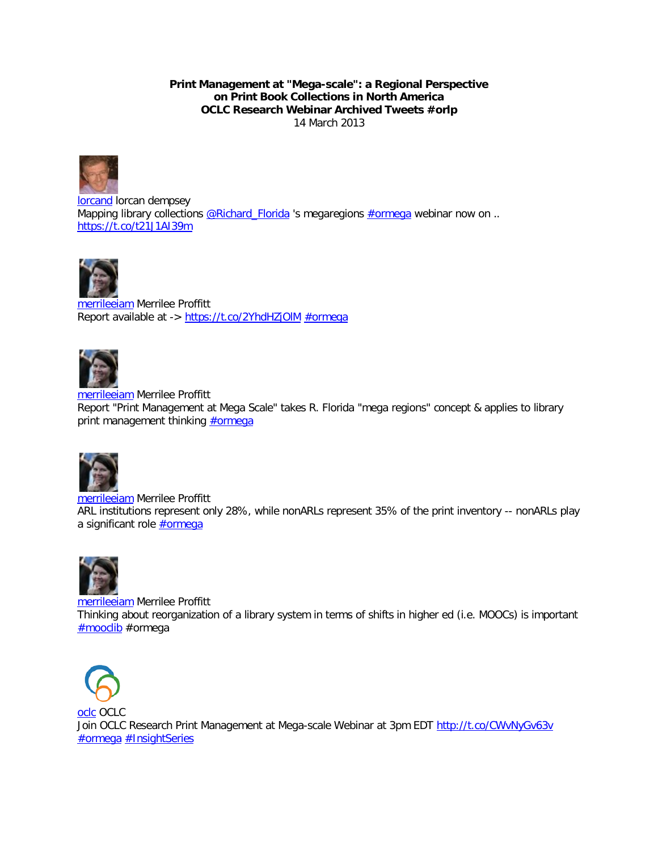**Print Management at "Mega-scale": a Regional Perspective on Print Book Collections in North America OCLC Research Webinar Archived Tweets #orlp** 14 March 2013



[lorcand](http://topsy.com/twitter/lorcand) lorcan dempsey Mapping library collections  $@Richard$  Florida 's megaregions  $#ormega$  webinar now on .. <https://t.co/t21J1AI39m>



[merrileeiam](http://topsy.com/twitter/merrileeiam) Merrilee Proffitt Report available at -><https://t.co/2YhdHZjOlM> [#ormega](http://topsy.com/s?type=tweet&q=%23ormega)



[merrileeiam](http://topsy.com/twitter/merrileeiam) Merrilee Proffitt Report "Print Management at Mega Scale" takes R. Florida "mega regions" concept & applies to library print management thinking **#ormega** 



[merrileeiam](http://topsy.com/twitter/merrileeiam) Merrilee Proffitt ARL institutions represent only 28%, while nonARLs represent 35% of the print inventory -- nonARLs play a significant role **#ormega** 



[merrileeiam](http://topsy.com/twitter/merrileeiam) Merrilee Proffitt Thinking about reorganization of a library system in terms of shifts in higher ed (i.e. MOOCs) is important [#mooclib](http://topsy.com/s?q=%23mooclib&utm_source=ottertag) #ormega



[oclc](http://topsy.com/twitter/oclc) OCLC Join OCLC Research Print Management at Mega-scale Webinar at 3pm EDT<http://t.co/CWvNyGv63v> [#ormega](http://topsy.com/s?type=tweet&q=%23ormega) [#InsightSeries](http://topsy.com/s?q=%23InsightSeries&utm_source=ottertag)